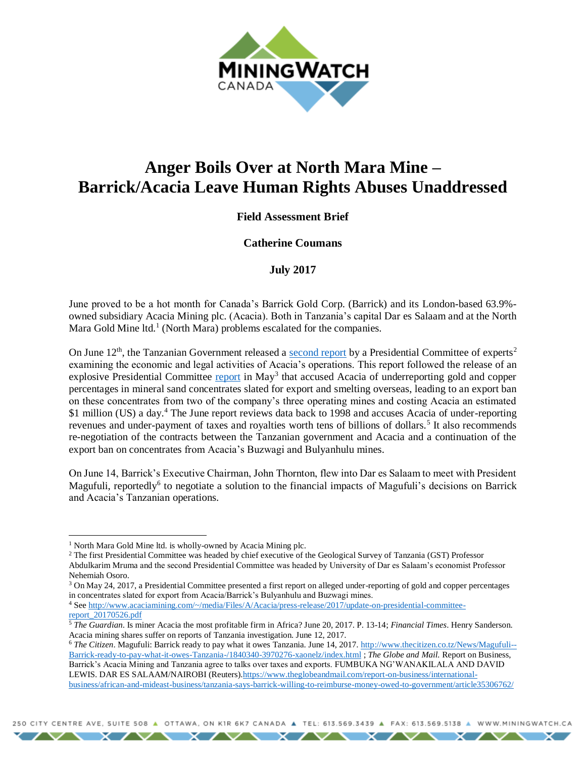

# **Anger Boils Over at North Mara Mine – Barrick/Acacia Leave Human Rights Abuses Unaddressed**

## **Field Assessment Brief**

#### **Catherine Coumans**

#### **July 2017**

June proved to be a hot month for Canada's Barrick Gold Corp. (Barrick) and its London-based 63.9% owned subsidiary Acacia Mining plc. (Acacia). Both in Tanzania's capital Dar es Salaam and at the North Mara Gold Mine ltd.<sup>1</sup> (North Mara) problems escalated for the companies.

On June 12<sup>th</sup>, the Tanzanian Government released a [second report](http://ikulu.go.tz/files/publications/attachments/2_sw.pdf) by a Presidential Committee of experts<sup>2</sup> examining the economic and legal activities of Acacia's operations. This report followed the release of an explosive Presidential Committee [report](http://ikulu.go.tz/files/publications/attachments/1_sw.pdf) in May<sup>3</sup> that accused Acacia of underreporting gold and copper percentages in mineral sand concentrates slated for export and smelting overseas, leading to an export ban on these concentrates from two of the company's three operating mines and costing Acacia an estimated \$1 million (US) a day.<sup>4</sup> The June report reviews data back to 1998 and accuses Acacia of under-reporting revenues and under-payment of taxes and royalties worth tens of billions of dollars.<sup>5</sup> It also recommends re-negotiation of the contracts between the Tanzanian government and Acacia and a continuation of the export ban on concentrates from Acacia's Buzwagi and Bulyanhulu mines.

On June 14, Barrick's Executive Chairman, John Thornton, flew into Dar es Salaam to meet with President Magufuli, reportedly<sup>6</sup> to negotiate a solution to the financial impacts of Magufuli's decisions on Barrick and Acacia's Tanzanian operations.

 $\overline{a}$ 

<sup>4</sup> Se[e http://www.acaciamining.com/~/media/Files/A/Acacia/press-release/2017/update-on-presidential-committee](http://www.acaciamining.com/~/media/Files/A/Acacia/press-release/2017/update-on-presidential-committee-report_20170526.pdf)[report\\_20170526.pdf](http://www.acaciamining.com/~/media/Files/A/Acacia/press-release/2017/update-on-presidential-committee-report_20170526.pdf)

<sup>&</sup>lt;sup>1</sup> North Mara Gold Mine ltd. is wholly-owned by Acacia Mining plc.

<sup>&</sup>lt;sup>2</sup> The first Presidential Committee was headed by chief executive of the Geological Survey of Tanzania (GST) Professor Abdulkarim Mruma and the second Presidential Committee was headed by University of Dar es Salaam's economist Professor Nehemiah Osoro.

<sup>3</sup> On May 24, 2017, a Presidential Committee presented a first report on alleged under-reporting of gold and copper percentages in concentrates slated for export from Acacia/Barrick's Bulyanhulu and Buzwagi mines.

<sup>5</sup> *The Guardian*. Is miner Acacia the most profitable firm in Africa? June 20, 2017. P. 13-14; *Financial Times*. Henry Sanderson. Acacia mining shares suffer on reports of Tanzania investigation. June 12, 2017.

<sup>6</sup> *The Citizen*. Magufuli: Barrick ready to pay what it owes Tanzania. June 14, 2017. [http://www.thecitizen.co.tz/News/Magufuli--](http://www.thecitizen.co.tz/News/Magufuli--Barrick-ready-to-pay-what-it-owes-Tanzania-/1840340-3970276-xaonelz/index.html) [Barrick-ready-to-pay-what-it-owes-Tanzania-/1840340-3970276-xaonelz/index.html](http://www.thecitizen.co.tz/News/Magufuli--Barrick-ready-to-pay-what-it-owes-Tanzania-/1840340-3970276-xaonelz/index.html) ; *The Globe and Mail.* Report on Business, Barrick's Acacia Mining and Tanzania agree to talks over taxes and exports. FUMBUKA NG'WANAKILALA AND DAVID LEWIS. DAR ES SALAAM/NAIROBI (Reuters)[.https://www.theglobeandmail.com/report-on-business/international](https://www.theglobeandmail.com/report-on-business/international-business/african-and-mideast-business/tanzania-says-barrick-willing-to-reimburse-money-owed-to-government/article35306762/)[business/african-and-mideast-business/tanzania-says-barrick-willing-to-reimburse-money-owed-to-government/article35306762/](https://www.theglobeandmail.com/report-on-business/international-business/african-and-mideast-business/tanzania-says-barrick-willing-to-reimburse-money-owed-to-government/article35306762/)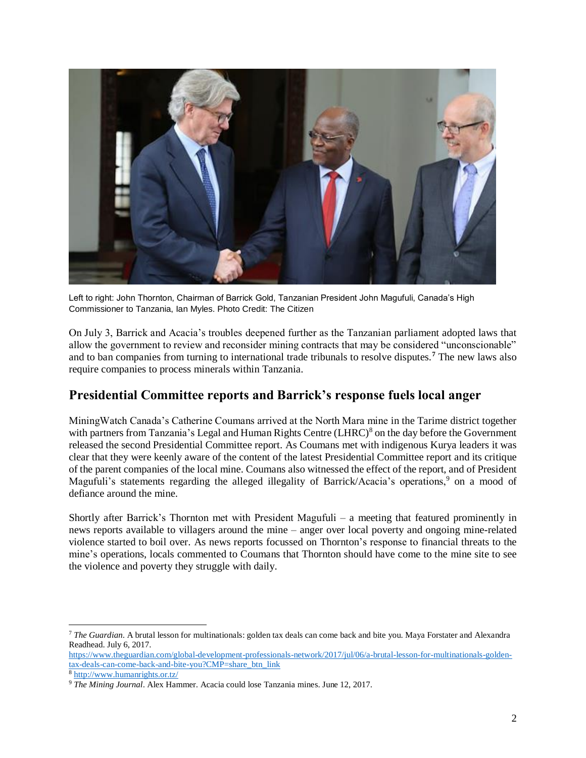

Left to right: John Thornton, Chairman of Barrick Gold, Tanzanian President John Magufuli, Canada's High Commissioner to Tanzania, Ian Myles. Photo Credit: The Citizen

On July 3, Barrick and Acacia's troubles deepened further as the Tanzanian parliament adopted laws that allow the government to review and reconsider mining contracts that may be considered "unconscionable" and to ban companies from turning to international trade tribunals to resolve disputes.**<sup>7</sup>** The new laws also require companies to process minerals within Tanzania.

# **Presidential Committee reports and Barrick's response fuels local anger**

MiningWatch Canada's Catherine Coumans arrived at the North Mara mine in the Tarime district together with partners from Tanzania's Legal and Human Rights Centre (LHRC)<sup>8</sup> on the day before the Government released the second Presidential Committee report. As Coumans met with indigenous Kurya leaders it was clear that they were keenly aware of the content of the latest Presidential Committee report and its critique of the parent companies of the local mine. Coumans also witnessed the effect of the report, and of President Magufuli's statements regarding the alleged illegality of Barrick/Acacia's operations,<sup>9</sup> on a mood of defiance around the mine.

Shortly after Barrick's Thornton met with President Magufuli – a meeting that featured prominently in news reports available to villagers around the mine – anger over local poverty and ongoing mine-related violence started to boil over. As news reports focussed on Thornton's response to financial threats to the mine's operations, locals commented to Coumans that Thornton should have come to the mine site to see the violence and poverty they struggle with daily.

[https://www.theguardian.com/global-development-professionals-network/2017/jul/06/a-brutal-lesson-for-multinationals-golden](https://www.theguardian.com/global-development-professionals-network/2017/jul/06/a-brutal-lesson-for-multinationals-golden-tax-deals-can-come-back-and-bite-you?CMP=share_btn_link)[tax-deals-can-come-back-and-bite-you?CMP=share\\_btn\\_link](https://www.theguardian.com/global-development-professionals-network/2017/jul/06/a-brutal-lesson-for-multinationals-golden-tax-deals-can-come-back-and-bite-you?CMP=share_btn_link)

<sup>8</sup> <http://www.humanrights.or.tz/>

l

<sup>7</sup> *The Guardian*. A brutal lesson for multinationals: golden tax deals can come back and bite you. Maya Forstater and Alexandra Readhead. July 6, 2017.

<sup>9</sup> *The Mining Journal*. Alex Hammer. Acacia could lose Tanzania mines. June 12, 2017.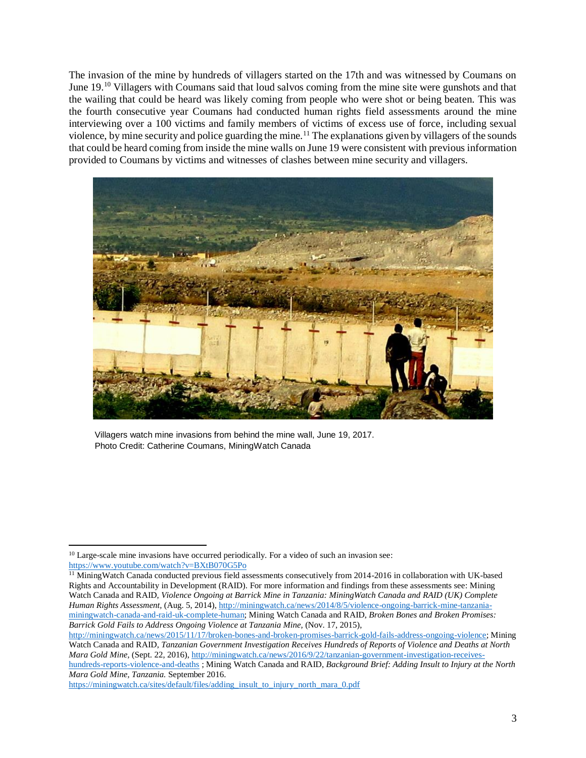The invasion of the mine by hundreds of villagers started on the 17th and was witnessed by Coumans on June 19.<sup>10</sup> Villagers with Coumans said that loud salvos coming from the mine site were gunshots and that the wailing that could be heard was likely coming from people who were shot or being beaten. This was the fourth consecutive year Coumans had conducted human rights field assessments around the mine interviewing over a 100 victims and family members of victims of excess use of force, including sexual violence, by mine security and police guarding the mine.<sup>11</sup> The explanations given by villagers of the sounds that could be heard coming from inside the mine walls on June 19 were consistent with previous information provided to Coumans by victims and witnesses of clashes between mine security and villagers.



Villagers watch mine invasions from behind the mine wall, June 19, 2017. Photo Credit: Catherine Coumans, MiningWatch Canada

 $\overline{a}$ 

[https://miningwatch.ca/sites/default/files/adding\\_insult\\_to\\_injury\\_north\\_mara\\_0.pdf](https://miningwatch.ca/sites/default/files/adding_insult_to_injury_north_mara_0.pdf)

 $10$  Large-scale mine invasions have occurred periodically. For a video of such an invasion see: <https://www.youtube.com/watch?v=BXtB070G5Po>

<sup>&</sup>lt;sup>11</sup> MiningWatch Canada conducted previous field assessments consecutively from 2014-2016 in collaboration with UK-based Rights and Accountability in Development (RAID). For more information and findings from these assessments see: Mining Watch Canada and RAID, *Violence Ongoing at Barrick Mine in Tanzania: MiningWatch Canada and RAID (UK) Complete Human Rights Assessment,* (Aug. 5, 2014), [http://miningwatch.ca/news/2014/8/5/violence-ongoing-barrick-mine-tanzania](http://miningwatch.ca/news/2014/8/5/violence-ongoing-barrick-mine-tanzania-miningwatch-canada-and-raid-uk-complete-human)[miningwatch-canada-and-raid-uk-complete-human;](http://miningwatch.ca/news/2014/8/5/violence-ongoing-barrick-mine-tanzania-miningwatch-canada-and-raid-uk-complete-human) Mining Watch Canada and RAID, *Broken Bones and Broken Promises: Barrick Gold Fails to Address Ongoing Violence at Tanzania Mine,* (Nov. 17, 2015),

[http://miningwatch.ca/news/2015/11/17/broken-bones-and-broken-promises-barrick-gold-fails-address-ongoing-violence;](http://miningwatch.ca/news/2015/11/17/broken-bones-and-broken-promises-barrick-gold-fails-address-ongoing-violence) Mining Watch Canada and RAID, *Tanzanian Government Investigation Receives Hundreds of Reports of Violence and Deaths at North Mara Gold Mine,* (Sept. 22, 2016)[, http://miningwatch.ca/news/2016/9/22/tanzanian-government-investigation-receives-](http://miningwatch.ca/news/2016/9/22/tanzanian-government-investigation-receives-hundreds-reports-violence-and-deaths)

[hundreds-reports-violence-and-deaths](http://miningwatch.ca/news/2016/9/22/tanzanian-government-investigation-receives-hundreds-reports-violence-and-deaths) ; Mining Watch Canada and RAID, *Background Brief: Adding Insult to Injury at the North Mara Gold Mine, Tanzania.* September 2016.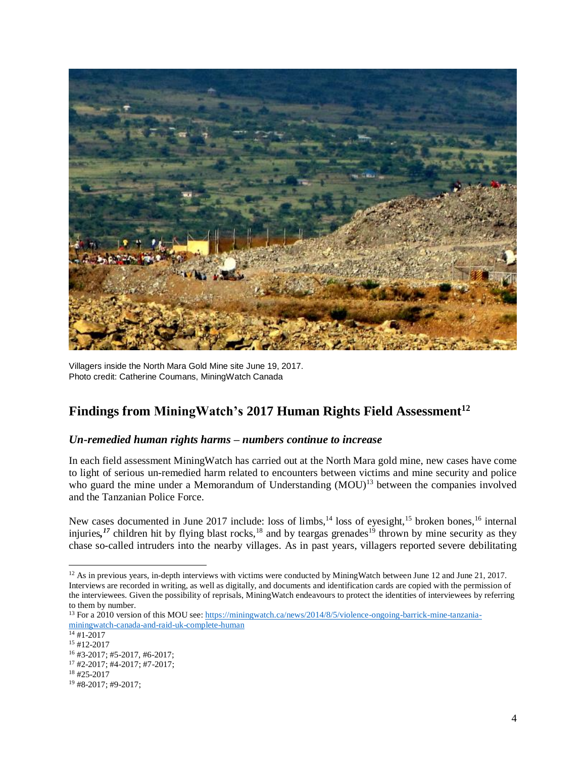

Villagers inside the North Mara Gold Mine site June 19, 2017. Photo credit: Catherine Coumans, MiningWatch Canada

# **Findings from MiningWatch's 2017 Human Rights Field Assessment<sup>12</sup>**

#### *Un-remedied human rights harms – numbers continue to increase*

In each field assessment MiningWatch has carried out at the North Mara gold mine, new cases have come to light of serious un-remedied harm related to encounters between victims and mine security and police who guard the mine under a Memorandum of Understanding (MOU)<sup>13</sup> between the companies involved and the Tanzanian Police Force.

New cases documented in June 2017 include: loss of limbs,<sup>14</sup> loss of eyesight,<sup>15</sup> broken bones,<sup>16</sup> internal injuries,<sup>17</sup> children hit by flying blast rocks,<sup>18</sup> and by teargas grenades<sup>19</sup> thrown by mine security as they chase so-called intruders into the nearby villages. As in past years, villagers reported severe debilitating

l

<sup>&</sup>lt;sup>12</sup> As in previous years, in-depth interviews with victims were conducted by MiningWatch between June 12 and June 21, 2017. Interviews are recorded in writing, as well as digitally, and documents and identification cards are copied with the permission of the interviewees. Given the possibility of reprisals, MiningWatch endeavours to protect the identities of interviewees by referring to them by number.

<sup>&</sup>lt;sup>13</sup> For a 2010 version of this MOU see[: https://miningwatch.ca/news/2014/8/5/violence-ongoing-barrick-mine-tanzania](https://miningwatch.ca/news/2014/8/5/violence-ongoing-barrick-mine-tanzania-miningwatch-canada-and-raid-uk-complete-human)[miningwatch-canada-and-raid-uk-complete-human](https://miningwatch.ca/news/2014/8/5/violence-ongoing-barrick-mine-tanzania-miningwatch-canada-and-raid-uk-complete-human)

 $14 \frac{1}{14}$  + 1-2017

 $15$  #12-2017

 $16$  #3-2017; #5-2017, #6-2017; <sup>17</sup> #2-2017; #4-2017; #7-2017;

<sup>18</sup> #25-2017

<sup>19</sup> #8-2017; #9-2017;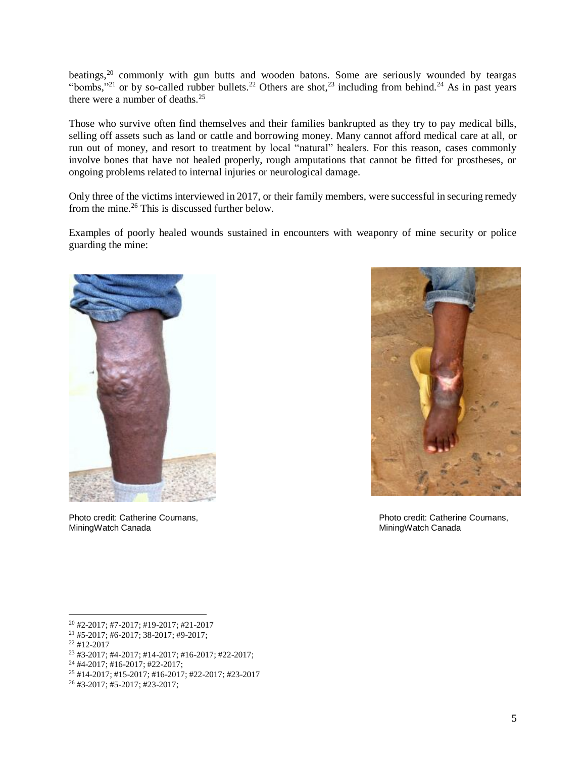beatings,<sup>20</sup> commonly with gun butts and wooden batons. Some are seriously wounded by teargas "bombs,"<sup>21</sup> or by so-called rubber bullets.<sup>22</sup> Others are shot,<sup>23</sup> including from behind.<sup>24</sup> As in past years there were a number of deaths. 25

Those who survive often find themselves and their families bankrupted as they try to pay medical bills, selling off assets such as land or cattle and borrowing money. Many cannot afford medical care at all, or run out of money, and resort to treatment by local "natural" healers. For this reason, cases commonly involve bones that have not healed properly, rough amputations that cannot be fitted for prostheses, or ongoing problems related to internal injuries or neurological damage.

Only three of the victims interviewed in 2017, or their family members, were successful in securing remedy from the mine.<sup>26</sup> This is discussed further below.

Examples of poorly healed wounds sustained in encounters with weaponry of mine security or police guarding the mine:



MiningWatch Canada **MiningWatch Canada** MiningWatch Canada



Photo credit: Catherine Coumans, Photo credit: Catherine Coumans,

l

<sup>23</sup> #3-2017; #4-2017; #14-2017; #16-2017; #22-2017;

<sup>20</sup> #2-2017; #7-2017; #19-2017; #21-2017

<sup>21</sup> #5-2017; #6-2017; 38-2017; #9-2017;

 $22 #12-2017$ 

<sup>24</sup> #4-2017; #16-2017; #22-2017;

<sup>25</sup> #14-2017; #15-2017; #16-2017; #22-2017; #23-2017

<sup>26</sup> #3-2017; #5-2017; #23-2017;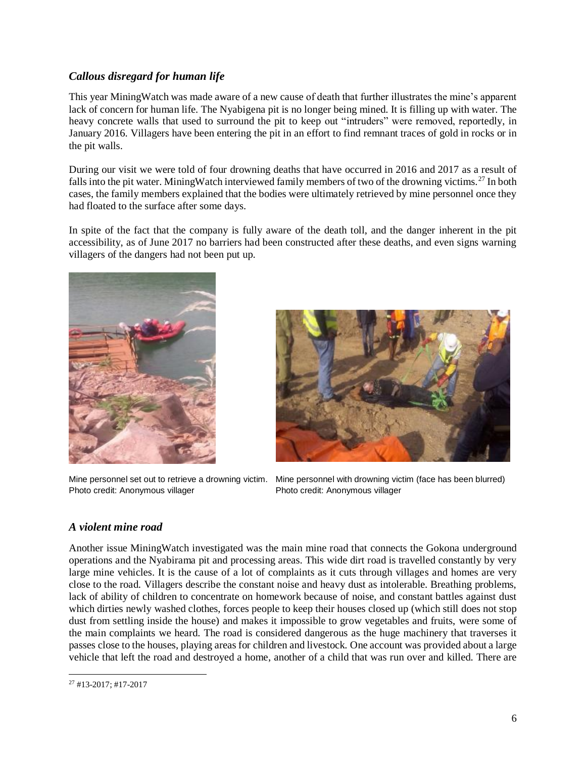## *Callous disregard for human life*

This year MiningWatch was made aware of a new cause of death that further illustrates the mine's apparent lack of concern for human life. The Nyabigena pit is no longer being mined. It is filling up with water. The heavy concrete walls that used to surround the pit to keep out "intruders" were removed, reportedly, in January 2016. Villagers have been entering the pit in an effort to find remnant traces of gold in rocks or in the pit walls.

During our visit we were told of four drowning deaths that have occurred in 2016 and 2017 as a result of falls into the pit water. MiningWatch interviewed family members of two of the drowning victims.<sup>27</sup> In both cases, the family members explained that the bodies were ultimately retrieved by mine personnel once they had floated to the surface after some days.

In spite of the fact that the company is fully aware of the death toll, and the danger inherent in the pit accessibility, as of June 2017 no barriers had been constructed after these deaths, and even signs warning villagers of the dangers had not been put up.



Photo credit: Anonymous villager Photo credit: Anonymous villager



Mine personnel set out to retrieve a drowning victim. Mine personnel with drowning victim (face has been blurred)

## *A violent mine road*

Another issue MiningWatch investigated was the main mine road that connects the Gokona underground operations and the Nyabirama pit and processing areas. This wide dirt road is travelled constantly by very large mine vehicles. It is the cause of a lot of complaints as it cuts through villages and homes are very close to the road. Villagers describe the constant noise and heavy dust as intolerable. Breathing problems, lack of ability of children to concentrate on homework because of noise, and constant battles against dust which dirties newly washed clothes, forces people to keep their houses closed up (which still does not stop dust from settling inside the house) and makes it impossible to grow vegetables and fruits, were some of the main complaints we heard. The road is considered dangerous as the huge machinery that traverses it passes close to the houses, playing areas for children and livestock. One account was provided about a large vehicle that left the road and destroyed a home, another of a child that was run over and killed. There are

 $\overline{a}$ <sup>27</sup> #13-2017; #17-2017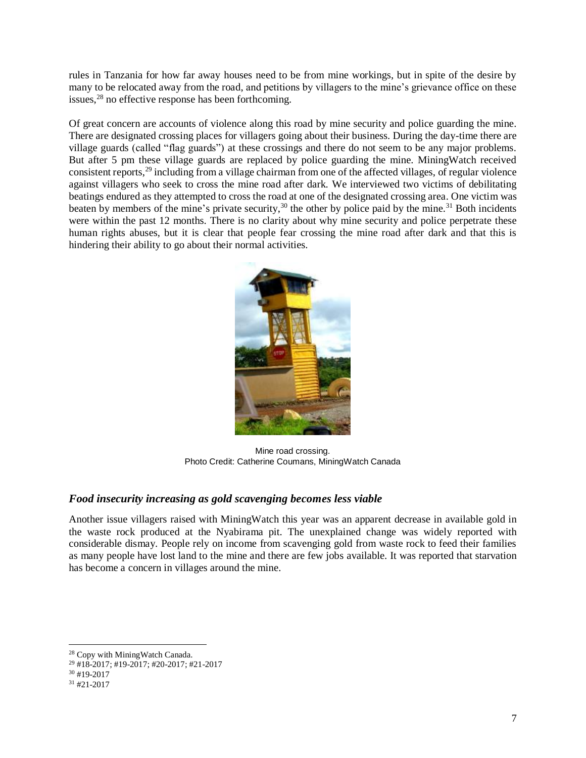rules in Tanzania for how far away houses need to be from mine workings, but in spite of the desire by many to be relocated away from the road, and petitions by villagers to the mine's grievance office on these issues,<sup>28</sup> no effective response has been forthcoming.

Of great concern are accounts of violence along this road by mine security and police guarding the mine. There are designated crossing places for villagers going about their business. During the day-time there are village guards (called "flag guards") at these crossings and there do not seem to be any major problems. But after 5 pm these village guards are replaced by police guarding the mine. MiningWatch received consistent reports, <sup>29</sup> including from a village chairman from one of the affected villages, of regular violence against villagers who seek to cross the mine road after dark. We interviewed two victims of debilitating beatings endured as they attempted to cross the road at one of the designated crossing area. One victim was beaten by members of the mine's private security,<sup>30</sup> the other by police paid by the mine.<sup>31</sup> Both incidents were within the past 12 months. There is no clarity about why mine security and police perpetrate these human rights abuses, but it is clear that people fear crossing the mine road after dark and that this is hindering their ability to go about their normal activities.



Mine road crossing. Photo Credit: Catherine Coumans, MiningWatch Canada

#### *Food insecurity increasing as gold scavenging becomes less viable*

Another issue villagers raised with MiningWatch this year was an apparent decrease in available gold in the waste rock produced at the Nyabirama pit. The unexplained change was widely reported with considerable dismay. People rely on income from scavenging gold from waste rock to feed their families as many people have lost land to the mine and there are few jobs available. It was reported that starvation has become a concern in villages around the mine.

 $\overline{\phantom{0}}$ 

<sup>28</sup> Copy with MiningWatch Canada.

<sup>29</sup> #18-2017; #19-2017; #20-2017; #21-2017

<sup>30</sup> #19-2017

<sup>31</sup> #21-2017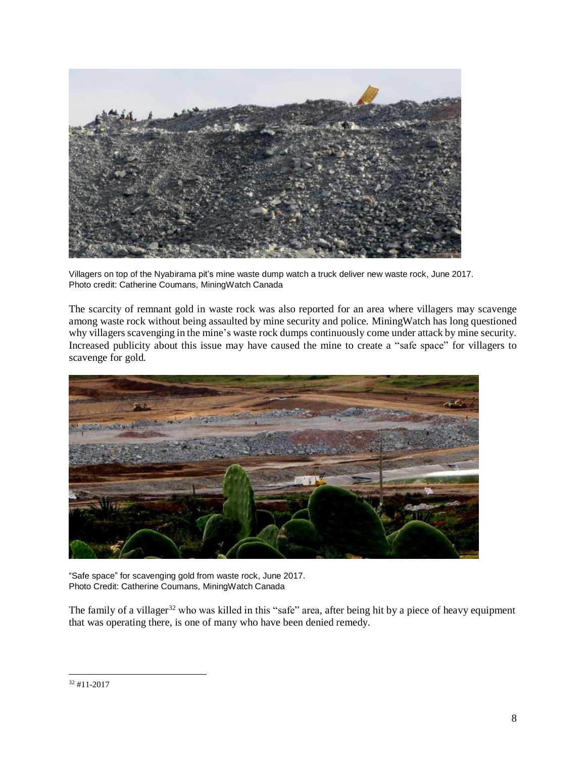

Villagers on top of the Nyabirama pit's mine waste dump watch a truck deliver new waste rock, June 2017. Photo credit: Catherine Coumans, MiningWatch Canada

The scarcity of remnant gold in waste rock was also reported for an area where villagers may scavenge among waste rock without being assaulted by mine security and police. MiningWatch has long questioned why villagers scavenging in the mine's waste rock dumps continuously come under attack by mine security. Increased publicity about this issue may have caused the mine to create a "safe space" for villagers to scavenge for gold.



"Safe space" for scavenging gold from waste rock, June 2017. Photo Credit: Catherine Coumans, MiningWatch Canada

The family of a villager<sup>32</sup> who was killed in this "safe" area, after being hit by a piece of heavy equipment that was operating there, is one of many who have been denied remedy.

 $\overline{a}$ 

<sup>32</sup> #11-2017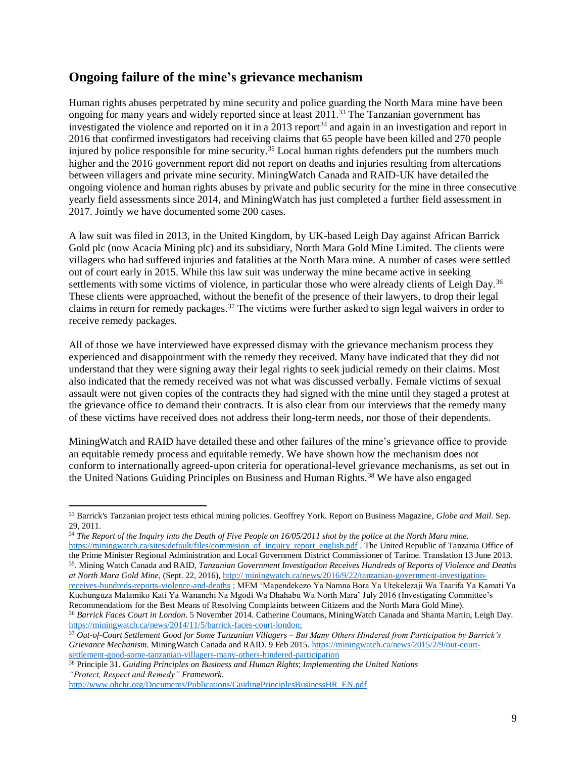## **Ongoing failure of the mine's grievance mechanism**

Human rights abuses perpetrated by mine security and police guarding the North Mara mine have been ongoing for many years and widely reported since at least 2011.<sup>33</sup> The Tanzanian government has investigated the violence and reported on it in a 2013 report $34$  and again in an investigation and report in 2016 that confirmed investigators had receiving claims that 65 people have been killed and 270 people injured by police responsible for mine security.<sup>35</sup> Local human rights defenders put the numbers much higher and the 2016 government report did not report on deaths and injuries resulting from altercations between villagers and private mine security. MiningWatch Canada and RAID-UK have detailed the ongoing violence and human rights abuses by private and public security for the mine in three consecutive yearly field assessments since 2014, and MiningWatch has just completed a further field assessment in 2017. Jointly we have documented some 200 cases.

A law suit was filed in 2013, in the United Kingdom, by UK-based Leigh Day against African Barrick Gold plc (now Acacia Mining plc) and its subsidiary, North Mara Gold Mine Limited. The clients were villagers who had suffered injuries and fatalities at the North Mara mine. A number of cases were settled out of court early in 2015. While this law suit was underway the mine became active in seeking settlements with some victims of violence, in particular those who were already clients of Leigh Day.<sup>36</sup> These clients were approached, without the benefit of the presence of their lawyers, to drop their legal claims in return for remedy packages.<sup>37</sup> The victims were further asked to sign legal waivers in order to receive remedy packages.

All of those we have interviewed have expressed dismay with the grievance mechanism process they experienced and disappointment with the remedy they received. Many have indicated that they did not understand that they were signing away their legal rights to seek judicial remedy on their claims. Most also indicated that the remedy received was not what was discussed verbally. Female victims of sexual assault were not given copies of the contracts they had signed with the mine until they staged a protest at the grievance office to demand their contracts. It is also clear from our interviews that the remedy many of these victims have received does not address their long-term needs, nor those of their dependents.

MiningWatch and RAID have detailed these and other failures of the mine's grievance office to provide an equitable remedy process and equitable remedy. We have shown how the mechanism does not conform to internationally agreed-upon criteria for operational-level grievance mechanisms, as set out in the United Nations Guiding Principles on Business and Human Rights.<sup>38</sup> We have also engaged

 $\overline{a}$ 

<sup>33</sup> Barrick's Tanzanian project tests ethical mining policies. Geoffrey York. Report on Business Magazine, *Globe and Mail*. Sep. 29, 2011.

<sup>34</sup> *The Report of the Inquiry into the Death of Five People on 16/05/2011 shot by the police at the North Mara mine.* [https://miningwatch.ca/sites/default/files/commision\\_of\\_inquiry\\_report\\_english.pdf](https://miningwatch.ca/sites/default/files/commision_of_inquiry_report_english.pdf) . The United Republic of Tanzania Office of

the Prime Minister Regional Administration and Local Government District Commissioner of Tarime. Translation 13 June 2013. 35 . Mining Watch Canada and RAID, *Tanzanian Government Investigation Receives Hundreds of Reports of Violence and Deaths at North Mara Gold Mine,* (Sept. 22, 2016), http:// miningwatch.ca/news/2016/9/22/tanzanian-government-investigation-

receives-hundreds-reports-violence-and-deaths ; MEM 'Mapendekezo Ya Namna Bora Ya Utekelezaji Wa Taarifa Ya Kamati Ya Kuchunguza Malamiko Kati Ya Wananchi Na Mgodi Wa Dhahabu Wa North Mara' July 2016 (Investigating Committee's Recommendations for the Best Means of Resolving Complaints between Citizens and the North Mara Gold Mine).

<sup>36</sup> *Barrick Faces Court in London*. 5 November 2014. Catherine Coumans, MiningWatch Canada and Shanta Martin, Leigh Day. [https://miningwatch.ca/news/2014/11/5/barrick-faces-court-london;](https://miningwatch.ca/news/2014/11/5/barrick-faces-court-london)

<sup>37</sup> *Out-of-Court Settlement Good for Some Tanzanian Villagers – But Many Others Hindered from Participation by Barrick's Grievance Mechanism.* MiningWatch Canada and RAID. 9 Feb 2015. [https://miningwatch.ca/news/2015/2/9/out-court](https://miningwatch.ca/news/2015/2/9/out-court-settlement-good-some-tanzanian-villagers-many-others-hindered-participation)[settlement-good-some-tanzanian-villagers-many-others-hindered-participation](https://miningwatch.ca/news/2015/2/9/out-court-settlement-good-some-tanzanian-villagers-many-others-hindered-participation)

<sup>38</sup> Principle 31. *Guiding Principles on Business and Human Rights*; *Implementing the United Nations "Protect, Respect and Remedy" Framework.*

[http://www.ohchr.org/Documents/Publications/GuidingPrinciplesBusinessHR\\_EN.pdf](http://www.ohchr.org/Documents/Publications/GuidingPrinciplesBusinessHR_EN.pdf)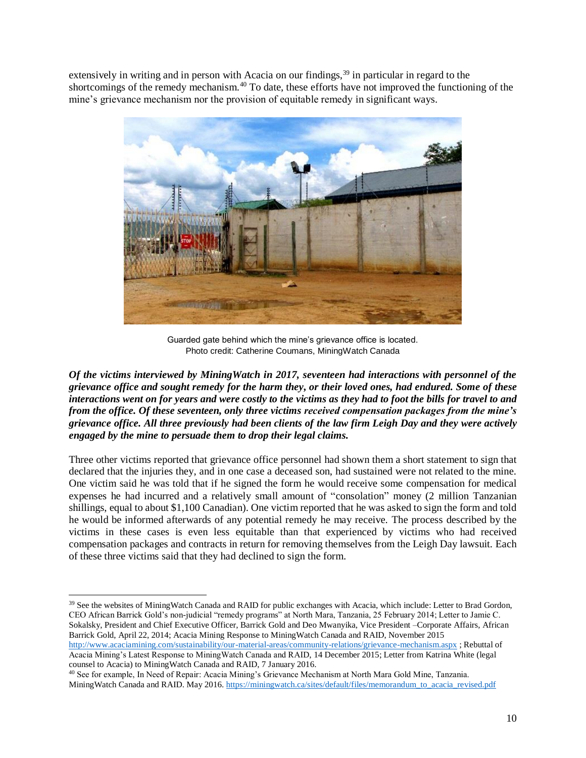extensively in writing and in person with Acacia on our findings,<sup>39</sup> in particular in regard to the shortcomings of the remedy mechanism.<sup>40</sup> To date, these efforts have not improved the functioning of the mine's grievance mechanism nor the provision of equitable remedy in significant ways.



Guarded gate behind which the mine's grievance office is located. Photo credit: Catherine Coumans, MiningWatch Canada

*Of the victims interviewed by MiningWatch in 2017, seventeen had interactions with personnel of the grievance office and sought remedy for the harm they, or their loved ones, had endured. Some of these interactions went on for years and were costly to the victims as they had to foot the bills for travel to and from the office. Of these seventeen, only three victims received compensation packages from the mine's grievance office. All three previously had been clients of the law firm Leigh Day and they were actively engaged by the mine to persuade them to drop their legal claims.*

Three other victims reported that grievance office personnel had shown them a short statement to sign that declared that the injuries they, and in one case a deceased son, had sustained were not related to the mine. One victim said he was told that if he signed the form he would receive some compensation for medical expenses he had incurred and a relatively small amount of "consolation" money (2 million Tanzanian shillings, equal to about \$1,100 Canadian). One victim reported that he was asked to sign the form and told he would be informed afterwards of any potential remedy he may receive. The process described by the victims in these cases is even less equitable than that experienced by victims who had received compensation packages and contracts in return for removing themselves from the Leigh Day lawsuit. Each of these three victims said that they had declined to sign the form.

 $\overline{\phantom{0}}$ 

<sup>&</sup>lt;sup>39</sup> See the websites of MiningWatch Canada and RAID for public exchanges with Acacia, which include: Letter to Brad Gordon, CEO African Barrick Gold's non-judicial "remedy programs" at North Mara, Tanzania, 25 February 2014; Letter to Jamie C. Sokalsky, President and Chief Executive Officer, Barrick Gold and Deo Mwanyika, Vice President –Corporate Affairs, African Barrick Gold, April 22, 2014; Acacia Mining Response to MiningWatch Canada and RAID, November 2015

<http://www.acaciamining.com/sustainability/our-material-areas/community-relations/grievance-mechanism.aspx> ; Rebuttal of Acacia Mining's Latest Response to MiningWatch Canada and RAID, 14 December 2015; Letter from Katrina White (legal counsel to Acacia) to MiningWatch Canada and RAID, 7 January 2016.

<sup>40</sup> See for example, In Need of Repair: Acacia Mining's Grievance Mechanism at North Mara Gold Mine, Tanzania. MiningWatch Canada and RAID. May 2016[. https://miningwatch.ca/sites/default/files/memorandum\\_to\\_acacia\\_revised.pdf](https://miningwatch.ca/sites/default/files/memorandum_to_acacia_revised.pdf)